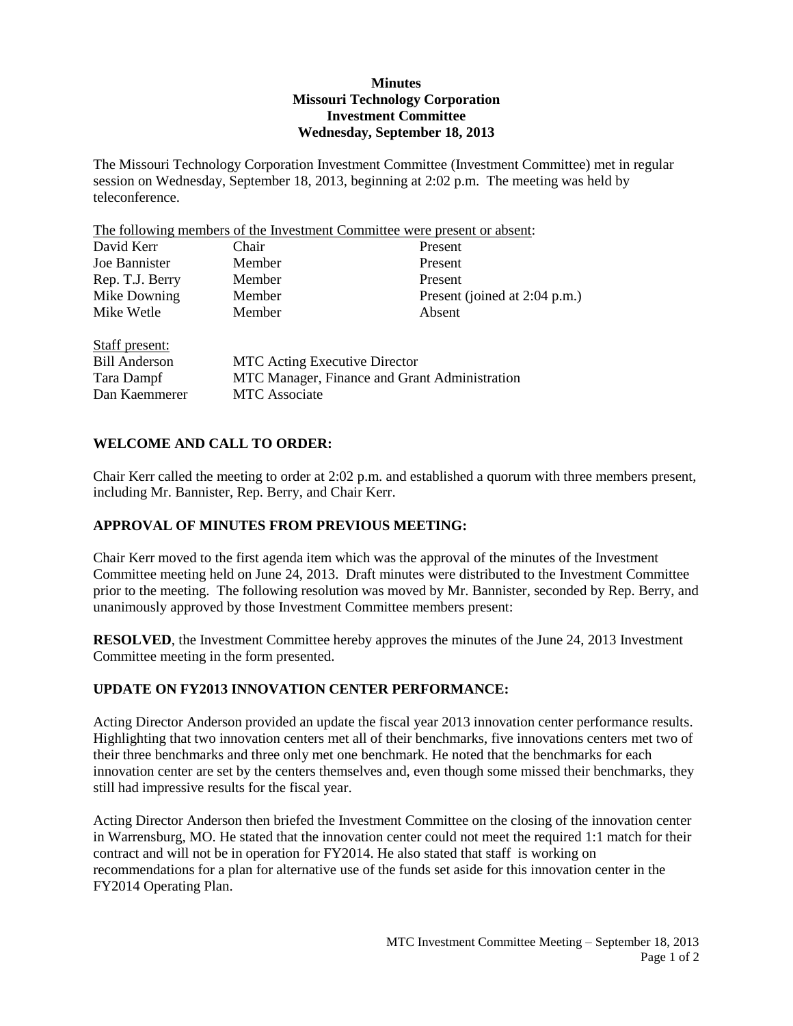### **Minutes Missouri Technology Corporation Investment Committee Wednesday, September 18, 2013**

The Missouri Technology Corporation Investment Committee (Investment Committee) met in regular session on Wednesday, September 18, 2013, beginning at 2:02 p.m. The meeting was held by teleconference.

The following members of the Investment Committee were present or absent:

| Chair                                         | Present                       |
|-----------------------------------------------|-------------------------------|
| Member                                        | Present                       |
| Member                                        | Present                       |
| Member                                        | Present (joined at 2:04 p.m.) |
| Member                                        | Absent                        |
|                                               |                               |
| <b>MTC</b> Acting Executive Director          |                               |
| MTC Manager, Finance and Grant Administration |                               |
| <b>MTC</b> Associate                          |                               |
|                                               |                               |

# **WELCOME AND CALL TO ORDER:**

Chair Kerr called the meeting to order at 2:02 p.m. and established a quorum with three members present, including Mr. Bannister, Rep. Berry, and Chair Kerr.

#### **APPROVAL OF MINUTES FROM PREVIOUS MEETING:**

Chair Kerr moved to the first agenda item which was the approval of the minutes of the Investment Committee meeting held on June 24, 2013. Draft minutes were distributed to the Investment Committee prior to the meeting. The following resolution was moved by Mr. Bannister, seconded by Rep. Berry, and unanimously approved by those Investment Committee members present:

**RESOLVED**, the Investment Committee hereby approves the minutes of the June 24, 2013 Investment Committee meeting in the form presented.

#### **UPDATE ON FY2013 INNOVATION CENTER PERFORMANCE:**

Acting Director Anderson provided an update the fiscal year 2013 innovation center performance results. Highlighting that two innovation centers met all of their benchmarks, five innovations centers met two of their three benchmarks and three only met one benchmark. He noted that the benchmarks for each innovation center are set by the centers themselves and, even though some missed their benchmarks, they still had impressive results for the fiscal year.

Acting Director Anderson then briefed the Investment Committee on the closing of the innovation center in Warrensburg, MO. He stated that the innovation center could not meet the required 1:1 match for their contract and will not be in operation for FY2014. He also stated that staff is working on recommendations for a plan for alternative use of the funds set aside for this innovation center in the FY2014 Operating Plan.